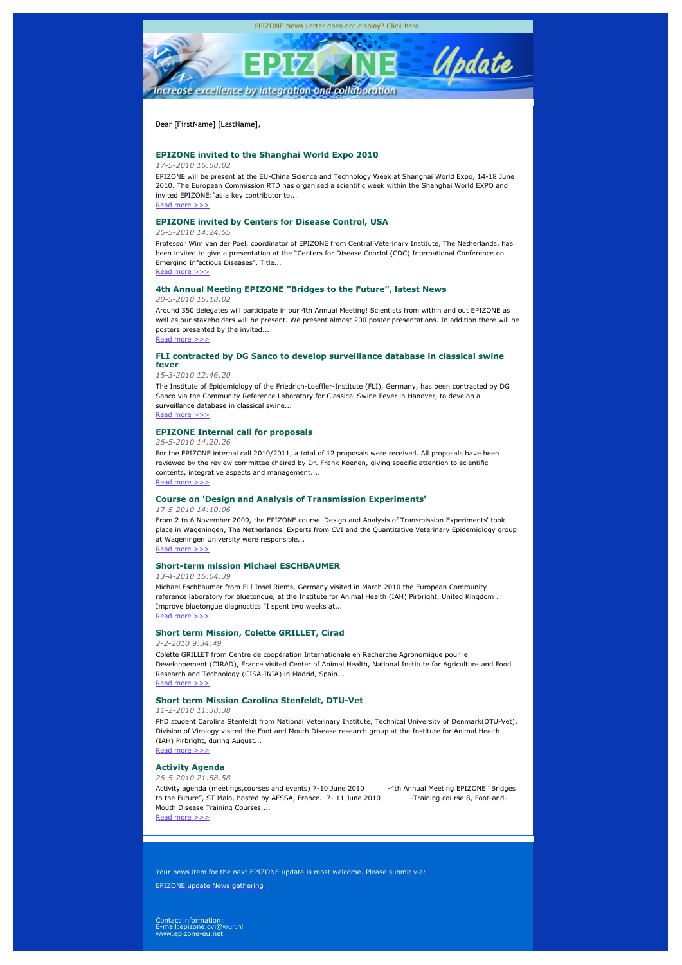

### Dear [FirstName] [LastName],

### **EPIZONE invited to the Shanghai World Expo 2010**

### *17-5-2010 16:58:02*

EPIZONE will be present at the EU-China Science and Technology Week at Shanghai World Expo, 14-18 June 2010. The European Commission RTD has organised a scientific week within the Shanghai World EXPO and invited EPIZONE:"as a key contributor to...

Read more  $>$ :

### **EPIZONE invited by Centers for Disease Control, USA**

#### *26-5-2010 14:24:55*

Professor Wim van der Poel, coordinator of EPIZONE from Central Veterinary Institute, The Netherlands, has been invited to give a presentation at the "Centers for Disease Conrtol (CDC) International Conference on Emerging Infectious Diseases". Title...

Read more

#### **4th Annual Meeting EPIZONE "Bridges to the Future", latest News**

#### *20-5-2010 15:18:02*

Around 350 delegates will participate in our 4th Annual Meeting! Scientists from within and out EPIZONE as well as our stakeholders will be present. We present almost 200 poster presentations. In addition there will be posters presented by the invited... Read more >>>

# **FLI contracted by DG Sanco to develop surveillance database in classical swine fever**

#### *15-3-2010 12:46:20*

The Institute of Epidemiology of the Friedrich-Loeffler-Institute (FLI), Germany, has been contracted by DG Sanco via the Community Reference Laboratory for Classical Swine Fever in Hanover, to develop a surveillance database in classical swine... Read more >>>

# **EPIZONE Internal call for proposals**

*26-5-2010 14:20:26*

For the EPIZONE internal call 2010/2011, a total of 12 proposals were received. All proposals have been reviewed by the review committee chaired by Dr. Frank Koenen, giving specific attention to scientific contents, integrative aspects and management.... Read more >>>

### **Course on 'Design and Analysis of Transmission Experiments'**

#### *17-5-2010 14:10:06*

From 2 to 6 November 2009, the EPIZONE course 'Design and Analysis of Transmission Experiments' took place in Wageningen, The Netherlands. Experts from CVI and the Quantitative Veterinary Epidemiology group at Waqeningen University were responsible... Read more

# **Short-term mission Michael ESCHBAUMER**

### *13-4-2010 16:04:39*

Michael Eschbaumer from FLI Insel Riems, Germany visited in March 2010 the European Community reference laboratory for bluetongue, at the Institute for Animal Health (IAH) Pirbright, United Kingdom . Improve bluetongue diagnostics "I spent two weeks at... Read more >>>

### **Short term Mission, Colette GRILLET, Cirad**

*2-2-2010 9:34:49*

Colette GRILLET from Centre de coopération Internationale en Recherche Agronomique pour le Développement (CIRAD), France visited Center of Animal Health, National Institute for Agriculture and Food Research and Technology (CISA-INIA) in Madrid, Spain... Read more

# **Short term Mission Carolina Stenfeldt, DTU-Vet**

*11-2-2010 11:38:38*

PhD student Carolina Stenfeldt from National Veterinary Institute, Technical University of Denmark(DTU-Vet), Division of Virology visited the Foot and Mouth Disease research group at the Institute for Animal Health (IAH) Pirbright, during August... Read more >>>

# **Activity Agenda**

#### *26-5-2010 21:58:58*

Activity agenda (meetings, courses and events) 7-10 June 2010 -4th Annual Meeting EPIZONE "Bridges to the Future", ST Malo, hosted by AFSSA, France. 7-11 June 2010 -Training course 8, Foot-and-Mouth Disease Training Courses,... Read more >>>

Your news item for the next EPIZONE update is most welcome. Please submit via:

EPIZONE update News gathering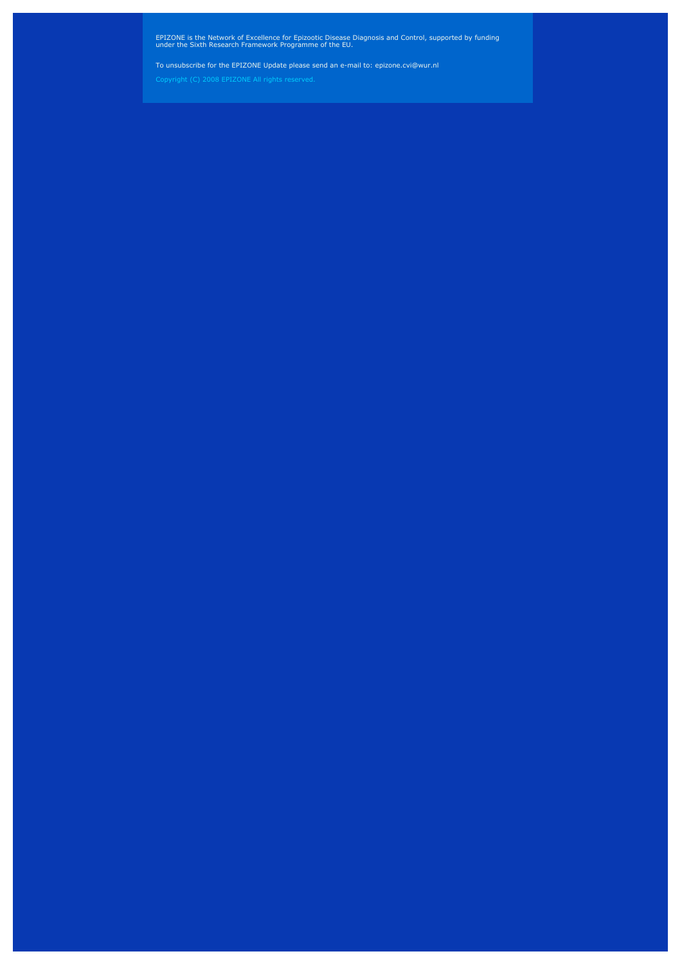#### EPIZONE is the Network of Excellence for Epizootic Disease Diagnosis and Control, supported by funding under the Sixth Research Framework Programme of the EU.

#### To unsubscribe for the EPIZONE Update please send an e-mail to: epizone.cvi@wur.nl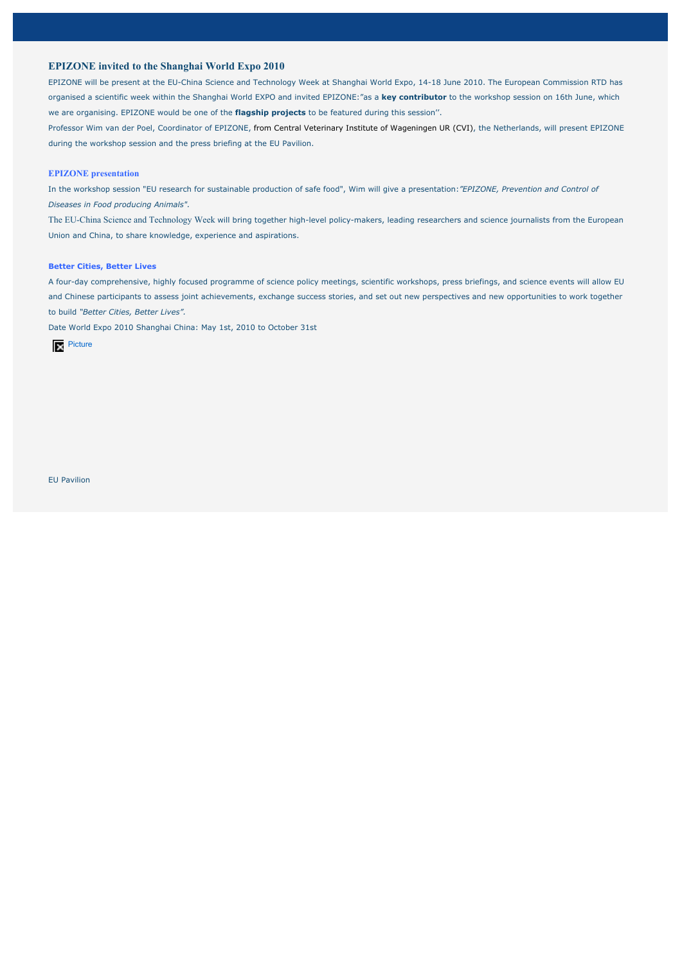# **EPIZONE invited to the Shanghai World Expo 2010**

EPIZONE will be present at the EU-China Science and Technology Week at Shanghai World Expo, 14-18 June 2010. The European Commission RTD has organised a scientific week within the Shanghai World EXPO and invited EPIZONE:"as a **key contributor** to the workshop session on 16th June, which we are organising. EPIZONE would be one of the **flagship projects** to be featured during this session''.

Professor Wim van der Poel, Coordinator of EPIZONE, from Central Veterinary Institute of Wageningen UR (CVI), the Netherlands, will present EPIZONE during the workshop session and the press briefing at the EU Pavilion.

### **EPIZONE presentation**

In the workshop session "EU research for sustainable production of safe food", Wim will give a presentation:*"EPIZONE, Prevention and Control of Diseases in Food producing Animals".*

The EU-China Science and Technology Week will bring together high-level policy-makers, leading researchers and science journalists from the European Union and China, to share knowledge, experience and aspirations.

#### **Better Cities, Better Lives**

A four-day comprehensive, highly focused programme of science policy meetings, scientific workshops, press briefings, and science events will allow EU and Chinese participants to assess joint achievements, exchange success stories, and set out new perspectives and new opportunities to work together to build *"Better Cities, Better Lives".* 

Date World Expo 2010 Shanghai China: May 1st, 2010 to October 31st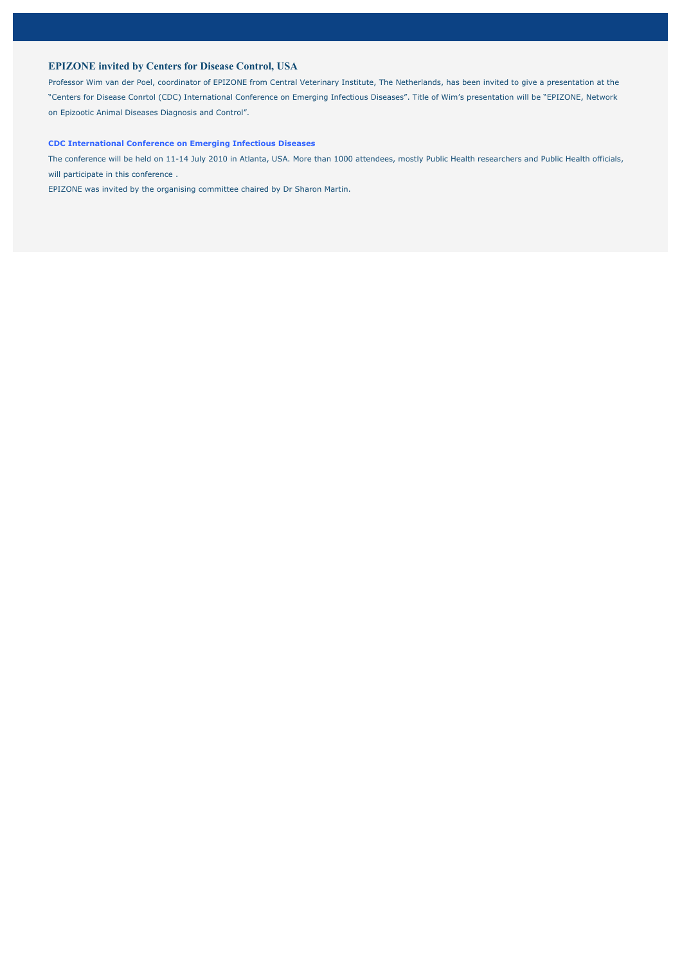# **EPIZONE invited by Centers for Disease Control, USA**

Professor Wim van der Poel, coordinator of EPIZONE from Central Veterinary Institute, The Netherlands, has been invited to give a presentation at the "Centers for Disease Conrtol (CDC) International Conference on Emerging Infectious Diseases". Title of Wim's presentation will be "EPIZONE, Network on Epizootic Animal Diseases Diagnosis and Control".

#### **CDC International Conference on Emerging Infectious Diseases**

The conference will be held on 11-14 July 2010 in Atlanta, USA. More than 1000 attendees, mostly Public Health researchers and Public Health officials, will participate in this conference.

EPIZONE was invited by the organising committee chaired by Dr Sharon Martin.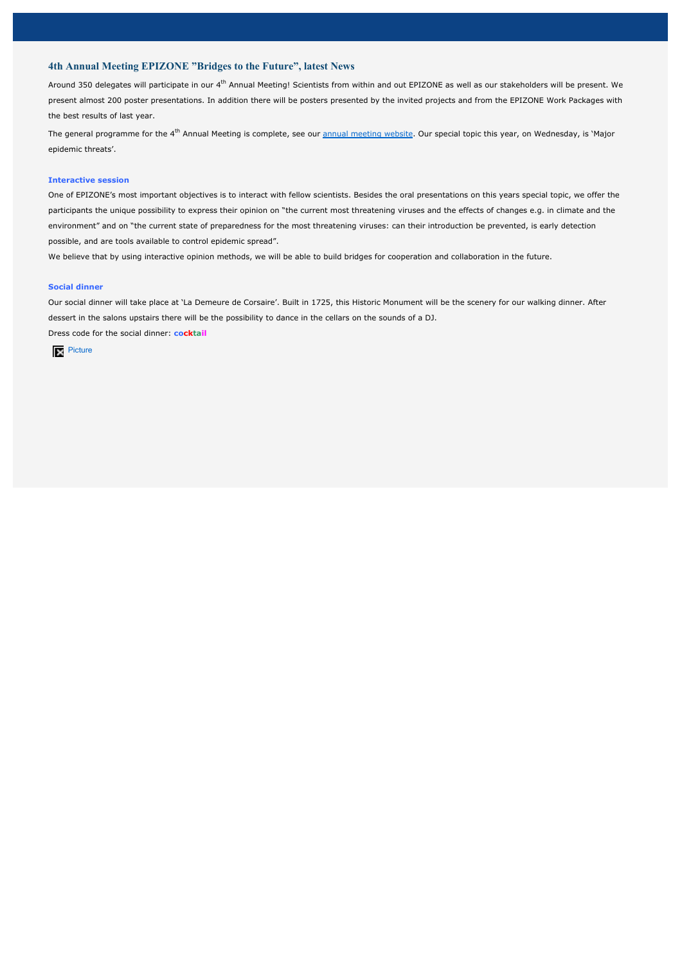# **4th Annual Meeting EPIZONE "Bridges to the Future", latest News**

Around 350 delegates will participate in our 4<sup>th</sup> Annual Meeting! Scientists from within and out EPIZONE as well as our stakeholders will be present. We present almost 200 poster presentations. In addition there will be posters presented by the invited projects and from the EPIZONE Work Packages with the best results of last year.

The general programme for the 4<sup>th</sup> Annual Meeting is complete, see our annual meeting website. Our special topic this year, on Wednesday, is 'Major epidemic threats'.

### **Interactive session**

One of EPIZONE's most important objectives is to interact with fellow scientists. Besides the oral presentations on this years special topic, we offer the participants the unique possibility to express their opinion on "the current most threatening viruses and the effects of changes e.g. in climate and the environment" and on "the current state of preparedness for the most threatening viruses: can their introduction be prevented, is early detection possible, and are tools available to control epidemic spread".

We believe that by using interactive opinion methods, we will be able to build bridges for cooperation and collaboration in the future.

#### **Social dinner**

Our social dinner will take place at 'La Demeure de Corsaire'. Built in 1725, this Historic Monument will be the scenery for our walking dinner. After dessert in the salons upstairs there will be the possibility to dance in the cellars on the sounds of a DJ.

Dress code for the social dinner: **cocktail**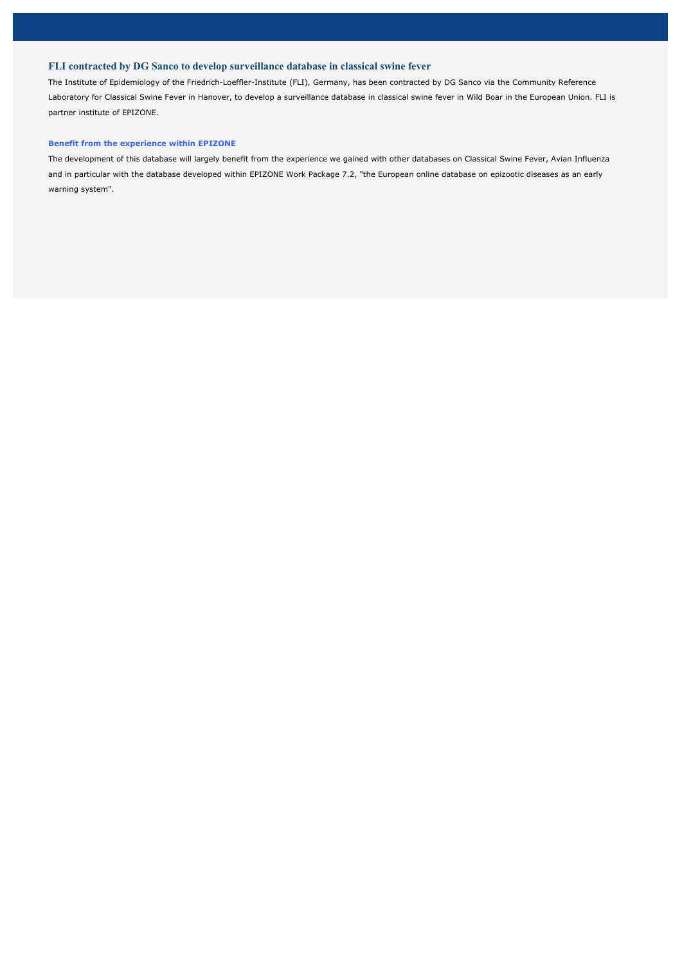# **FLI contracted by DG Sanco to develop surveillance database in classical swine fever**

The Institute of Epidemiology of the Friedrich-Loeffler-Institute (FLI), Germany, has been contracted by DG Sanco via the Community Reference Laboratory for Classical Swine Fever in Hanover, to develop a surveillance database in classical swine fever in Wild Boar in the European Union. FLI is partner institute of EPIZONE.

### **Benefit from the experience within EPIZONE**

The development of this database will largely benefit from the experience we gained with other databases on Classical Swine Fever, Avian Influenza and in particular with the database developed within EPIZONE Work Package 7.2, "the European online database on epizootic diseases as an early warning system".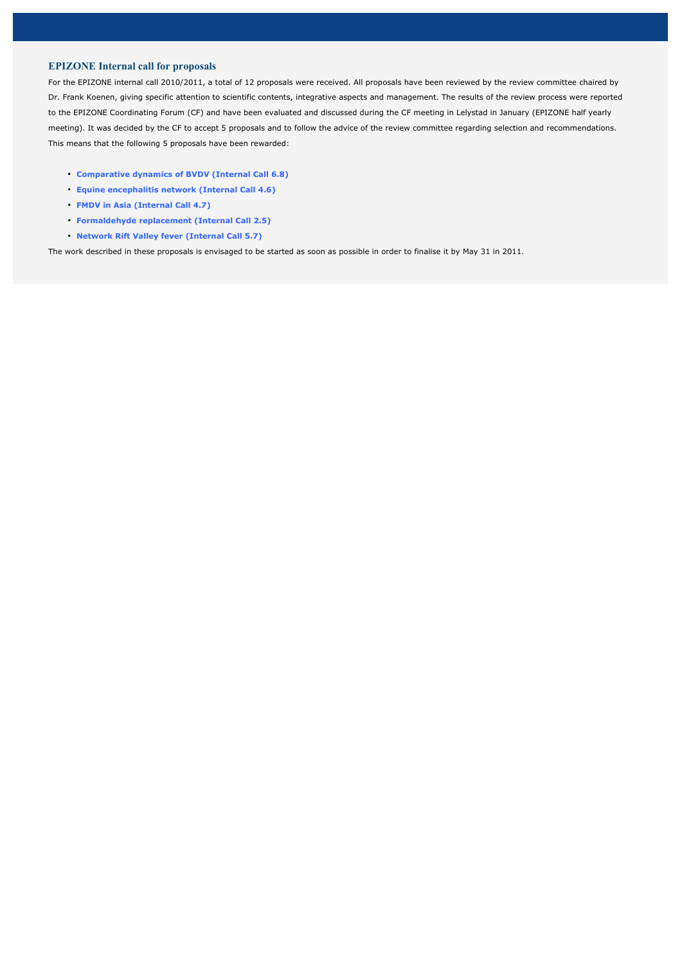# **EPIZONE Internal call for proposals**

For the EPIZONE internal call 2010/2011, a total of 12 proposals were received. All proposals have been reviewed by the review committee chaired by Dr. Frank Koenen, giving specific attention to scientific contents, integrative aspects and management. The results of the review process were reported to the EPIZONE Coordinating Forum (CF) and have been evaluated and discussed during the CF meeting in Lelystad in January (EPIZONE half yearly meeting). It was decided by the CF to accept 5 proposals and to follow the advice of the review committee regarding selection and recommendations. This means that the following 5 proposals have been rewarded:

- **Comparative dynamics of BVDV (Internal Call 6.8)**
- **Equine encephalitis network (Internal Call 4.6)**
- **FMDV in Asia (Internal Call 4.7)**
- **Formaldehyde replacement (Internal Call 2.5)**
- **Network Rift Valley fever (Internal Call 5.7)**

The work described in these proposals is envisaged to be started as soon as possible in order to finalise it by May 31 in 2011.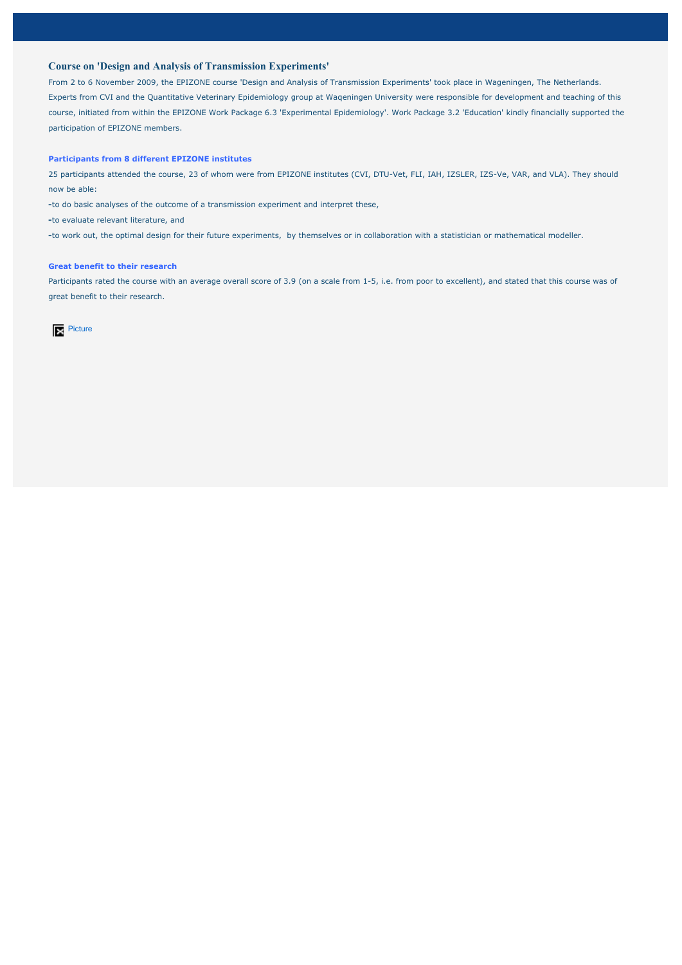# **Course on 'Design and Analysis of Transmission Experiments'**

From 2 to 6 November 2009, the EPIZONE course 'Design and Analysis of Transmission Experiments' took place in Wageningen, The Netherlands. Experts from CVI and the Quantitative Veterinary Epidemiology group at Waqeningen University were responsible for development and teaching of this course, initiated from within the EPIZONE Work Package 6.3 'Experimental Epidemiology'. Work Package 3.2 'Education' kindly financially supported the participation of EPIZONE members.

#### **Participants from 8 different EPIZONE institutes**

25 participants attended the course, 23 of whom were from EPIZONE institutes (CVI, DTU-Vet, FLI, IAH, IZSLER, IZS-Ve, VAR, and VLA). They should now be able:

**-**to do basic analyses of the outcome of a transmission experiment and interpret these,

**-**to evaluate relevant literature, and

**-**to work out, the optimal design for their future experiments, by themselves or in collaboration with a statistician or mathematical modeller.

### **Great benefit to their research**

Participants rated the course with an average overall score of 3.9 (on a scale from 1-5, i.e. from poor to excellent), and stated that this course was of great benefit to their research.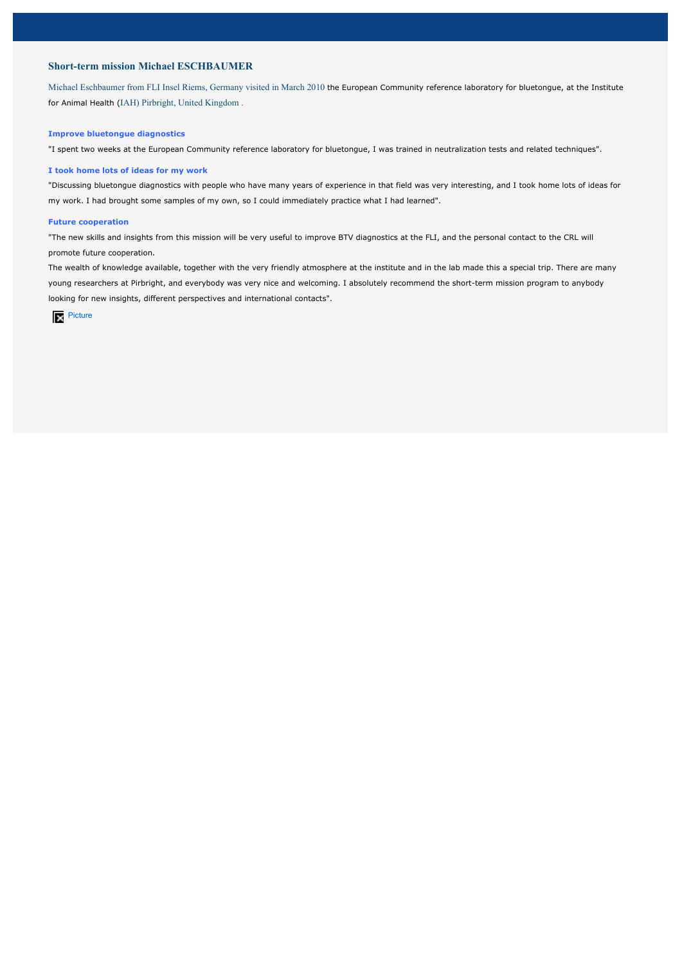# **Short-term mission Michael ESCHBAUMER**

Michael Eschbaumer from FLI Insel Riems, Germany visited in March 2010 the European Community reference laboratory for bluetongue, at the Institute for Animal Health (IAH) Pirbright, United Kingdom .

### **Improve bluetongue diagnostics**

"I spent two weeks at the European Community reference laboratory for bluetongue, I was trained in neutralization tests and related techniques".

#### **I took home lots of ideas for my work**

"Discussing bluetongue diagnostics with people who have many years of experience in that field was very interesting, and I took home lots of ideas for my work. I had brought some samples of my own, so I could immediately practice what I had learned".

#### **Future cooperation**

"The new skills and insights from this mission will be very useful to improve BTV diagnostics at the FLI, and the personal contact to the CRL will promote future cooperation.

The wealth of knowledge available, together with the very friendly atmosphere at the institute and in the lab made this a special trip. There are many young researchers at Pirbright, and everybody was very nice and welcoming. I absolutely recommend the short-term mission program to anybody looking for new insights, different perspectives and international contacts".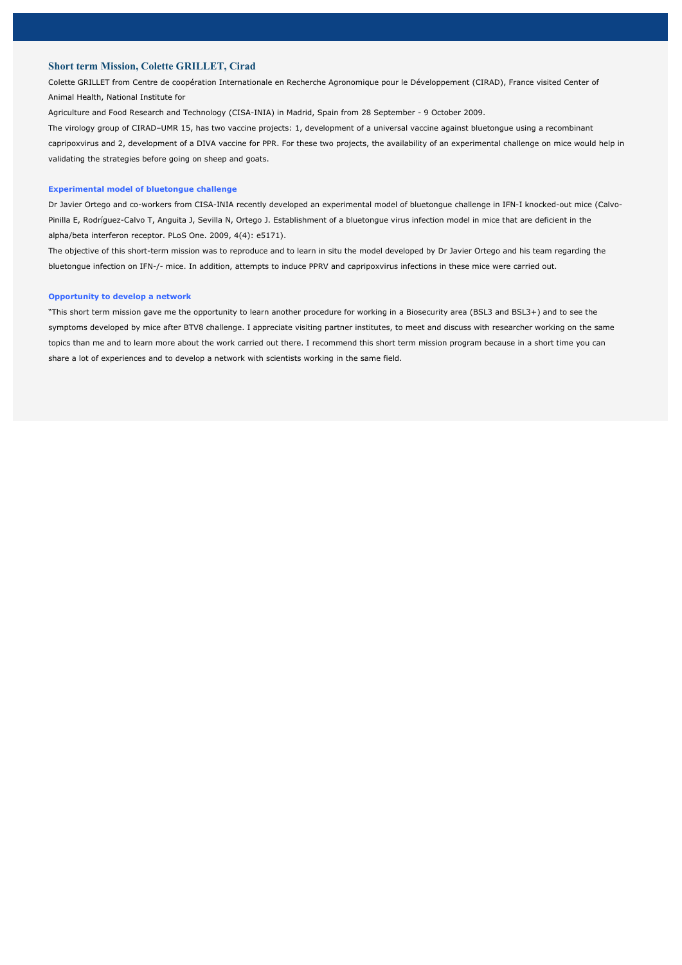# **Short term Mission, Colette GRILLET, Cirad**

Colette GRILLET from Centre de coopération Internationale en Recherche Agronomique pour le Développement (CIRAD), France visited Center of Animal Health, National Institute for

Agriculture and Food Research and Technology (CISA-INIA) in Madrid, Spain from 28 September - 9 October 2009.

The virology group of CIRAD–UMR 15, has two vaccine projects: 1, development of a universal vaccine against bluetongue using a recombinant capripoxvirus and 2, development of a DIVA vaccine for PPR. For these two projects, the availability of an experimental challenge on mice would help in validating the strategies before going on sheep and goats.

### **Experimental model of bluetongue challenge**

Dr Javier Ortego and co-workers from CISA-INIA recently developed an experimental model of bluetongue challenge in IFN-I knocked-out mice (Calvo-Pinilla E, Rodríguez-Calvo T, Anguita J, Sevilla N, Ortego J. Establishment of a bluetongue virus infection model in mice that are deficient in the alpha/beta interferon receptor. PLoS One. 2009, 4(4): e5171).

The objective of this short-term mission was to reproduce and to learn in situ the model developed by Dr Javier Ortego and his team regarding the bluetongue infection on IFN-/- mice. In addition, attempts to induce PPRV and capripoxvirus infections in these mice were carried out.

### **Opportunity to develop a network**

"This short term mission gave me the opportunity to learn another procedure for working in a Biosecurity area (BSL3 and BSL3+) and to see the symptoms developed by mice after BTV8 challenge. I appreciate visiting partner institutes, to meet and discuss with researcher working on the same topics than me and to learn more about the work carried out there. I recommend this short term mission program because in a short time you can share a lot of experiences and to develop a network with scientists working in the same field.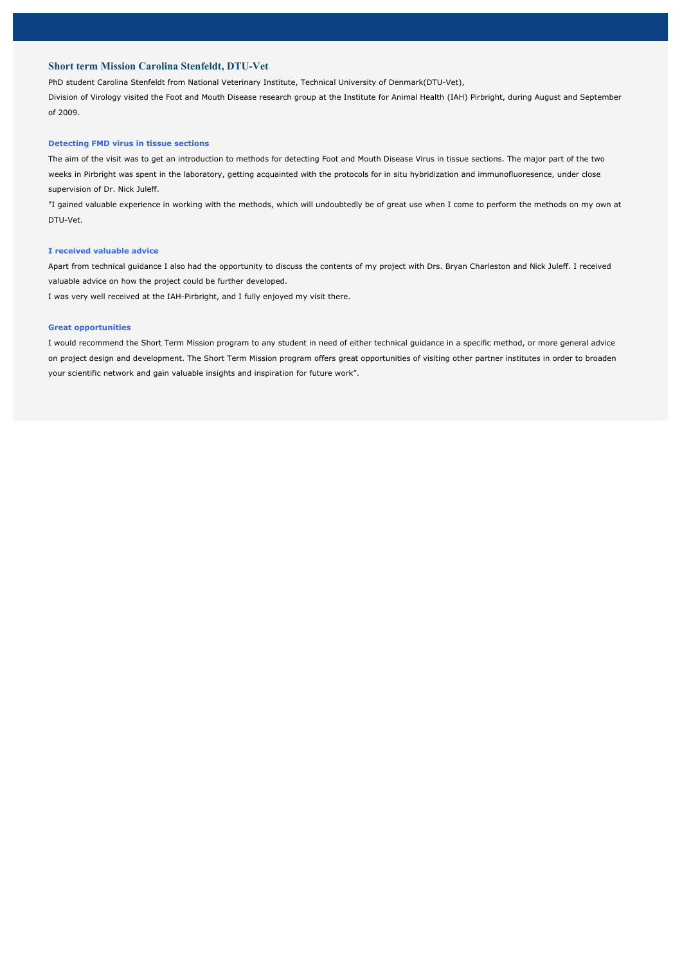# **Short term Mission Carolina Stenfeldt, DTU-Vet**

PhD student Carolina Stenfeldt from National Veterinary Institute, Technical University of Denmark(DTU-Vet),

Division of Virology visited the Foot and Mouth Disease research group at the Institute for Animal Health (IAH) Pirbright, during August and September of 2009.

#### **Detecting FMD virus in tissue sections**

The aim of the visit was to get an introduction to methods for detecting Foot and Mouth Disease Virus in tissue sections. The major part of the two weeks in Pirbright was spent in the laboratory, getting acquainted with the protocols for in situ hybridization and immunofluoresence, under close supervision of Dr. Nick Juleff.

"I gained valuable experience in working with the methods, which will undoubtedly be of great use when I come to perform the methods on my own at DTU-Vet.

### **I received valuable advice**

Apart from technical guidance I also had the opportunity to discuss the contents of my project with Drs. Bryan Charleston and Nick Juleff. I received valuable advice on how the project could be further developed.

I was very well received at the IAH-Pirbright, and I fully enjoyed my visit there.

### **Great opportunities**

I would recommend the Short Term Mission program to any student in need of either technical guidance in a specific method, or more general advice on project design and development. The Short Term Mission program offers great opportunities of visiting other partner institutes in order to broaden your scientific network and gain valuable insights and inspiration for future work".